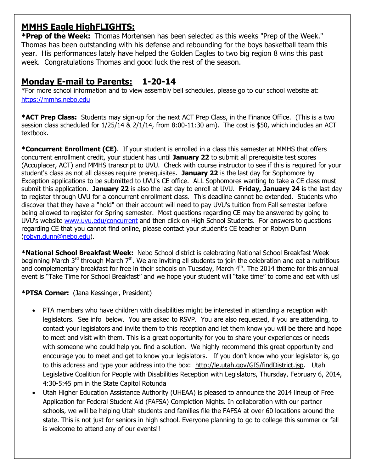# **MMHS Eagle HighFLIGHTS:**

**\*Prep of the Week:** Thomas Mortensen has been selected as this weeks "Prep of the Week." Thomas has been outstanding with his defense and rebounding for the boys basketball team this year. His performances lately have helped the Golden Eagles to two big region 8 wins this past week. Congratulations Thomas and good luck the rest of the season.

# **Monday E-mail to Parents: 1-20-14**

\*For more school information and to view assembly bell schedules, please go to our school website at: [https://mmhs.nebo.edu](https://mmhs.nebo.edu/)

**\*ACT Prep Class:** Students may sign-up for the next ACT Prep Class, in the Finance Office. (This is a two session class scheduled for 1/25/14 & 2/1/14, from 8:00-11:30 am). The cost is \$50, which includes an ACT textbook.

**\*Concurrent Enrollment (CE)**. If your student is enrolled in a class this semester at MMHS that offers concurrent enrollment credit, your student has until **January 22** to submit all prerequisite test scores (Accuplacer, ACT) and MMHS transcript to UVU. Check with course instructor to see if this is required for your student's class as not all classes require prerequisites. **January 22** is the last day for Sophomore by Exception applications to be submitted to UVU's CE office. ALL Sophomores wanting to take a CE class must submit this application. **January 22** is also the last day to enroll at UVU. **Friday, January 24** is the last day to register through UVU for a concurrent enrollment class. This deadline cannot be extended. Students who discover that they have a "hold" on their account will need to pay UVU's tuition from Fall semester before being allowed to register for Spring semester. Most questions regarding CE may be answered by going to UVU's website [www.uvu.edu/concurrent](http://www.uvu.edu/concurrent) and then click on High School Students. For answers to questions regarding CE that you cannot find online, please contact your student's CE teacher or Robyn Dunn [\(robyn.dunn@nebo.edu\)](mailto:robyn.dunn@nebo.edu).

**\*National School Breakfast Week:** Nebo School district is celebrating National School Breakfast Week beginning March  $3^{rd}$  through March  $7^{th}$ . We are inviting all students to join the celebration and eat a nutritious and complementary breakfast for free in their schools on Tuesday, March  $4<sup>th</sup>$ . The 2014 theme for this annual event is "Take Time for School Breakfast" and we hope your student will "take time" to come and eat with us!

## **\*PTSA Corner:** (Jana Kessinger, President)

- PTA members who have children with disabilities might be interested in attending a reception with legislators. See info below. You are asked to RSVP. You are also requested, if you are attending, to contact your legislators and invite them to this reception and let them know you will be there and hope to meet and visit with them. This is a great opportunity for you to share your experiences or needs with someone who could help you find a solution. We highly recommend this great opportunity and encourage you to meet and get to know your legislators. If you don't know who your legislator is, go to this address and type your address into the box: [http://le.utah.gov/GIS/findDistrict.jsp.](http://le.utah.gov/GIS/findDistrict.jsp) Utah Legislative Coalition for People with Disabilities Reception with Legislators, Thursday, February 6, 2014, 4:30-5:45 pm in the State Capitol Rotunda
- Utah Higher Education Assistance Authority (UHEAA) is pleased to announce the 2014 lineup of Free Application for Federal Student Aid (FAFSA) Completion Nights. In collaboration with our partner schools, we will be helping Utah students and families file the FAFSA at over 60 locations around the state. This is not just for seniors in high school. Everyone planning to go to college this summer or fall is welcome to attend any of our events!!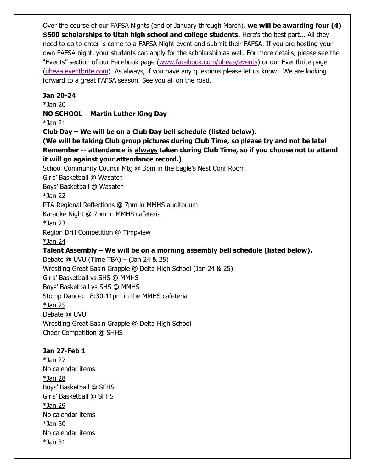Over the course of our FAFSA Nights (end of January through March), **we will be awarding four (4) \$500 scholarships to Utah high school and college students.** Here's the best part... All they need to do to enter is come to a FAFSA Night event and submit their FAFSA. If you are hosting your own FAFSA night, your students can apply for the scholarship as well. For more details, please see the "Events" section of our Facebook page ([www.facebook.com/uheaa/events\)](http://www.facebook.com/uheaa/events) or our Eventbrite page [\(uheaa.eventbrite.com\)](http://www.eventbrite.com/o/uheaa-utah-higher-education-assistance-authority-347715086). As always, if you have any questions please let us know. We are looking forward to a great FAFSA season! See you all on the road.

#### **Jan 20-24**

\*Jan 20

#### **NO SCHOOL – Martin Luther King Day**

\*Jan 21

**Club Day – We will be on a Club Day bell schedule (listed below).**

**(We will be taking Club group pictures during Club Time, so please try and not be late! Remember -- attendance is always taken during Club Time, so if you choose not to attend it will go against your attendance record.)**

School Community Council Mtg @ 3pm in the Eagle's Nest Conf Room

Girls' Basketball @ Wasatch

Boys' Basketball @ Wasatch

#### \*Jan 22

PTA Regional Reflections @ 7pm in MMHS auditorium

Karaoke Night @ 7pm in MMHS cafeteria

\*Jan 23

Region Drill Competition @ Timpview

\*Jan 24

## **Talent Assembly – We will be on a morning assembly bell schedule (listed below).**

Debate @ UVU (Time TBA) – (Jan 24 & 25) Wrestling Great Basin Grapple @ Delta High School (Jan 24 & 25) Girls' Basketball vs SHS @ MMHS Boys' Basketball vs SHS @ MMHS Stomp Dance: 8:30-11pm in the MMHS cafeteria  $*$ Jan 25 Debate @ UVU Wrestling Great Basin Grapple @ Delta High School Cheer Competition @ SHHS

## **Jan 27-Feb 1**

\*Jan 27 No calendar items \*Jan 28 Boys' Basketball @ SFHS Girls' Basketball @ SFHS \*Jan 29 No calendar items \*Jan 30 No calendar items \*Jan 31